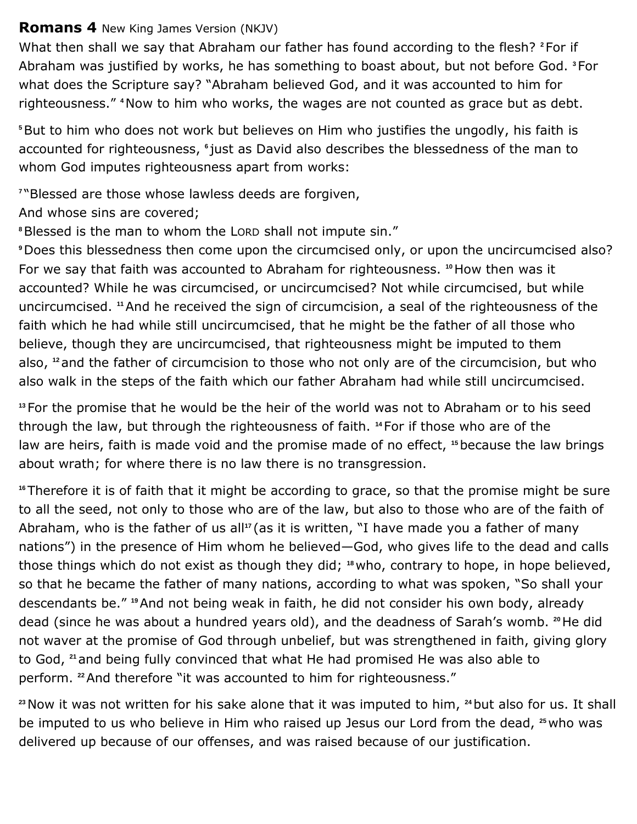## **Romans 4** New King James Version (NKJV)

What then shall we say that Abraham our father has found according to the flesh? **<sup>2</sup>**For if Abraham was justified by works, he has something to boast about, but not before God. **<sup>3</sup>**For what does the Scripture say? "Abraham believed God, and it was accounted to him for righteousness." **<sup>4</sup>**Now to him who works, the wages are not counted as grace but as debt.

**<sup>5</sup>**But to him who does not work but believes on Him who justifies the ungodly, his faith is accounted for righteousness, **<sup>6</sup>** just as David also describes the blessedness of the man to whom God imputes righteousness apart from works:

**7** "Blessed are those whose lawless deeds are forgiven,

And whose sins are covered;

**<sup>8</sup>**Blessed is the man to whom the LORD shall not impute sin."

**<sup>9</sup>**Does this blessedness then come upon the circumcised only, or upon the uncircumcised also? For we say that faith was accounted to Abraham for righteousness. **<sup>10</sup>**How then was it accounted? While he was circumcised, or uncircumcised? Not while circumcised, but while uncircumcised. **<sup>11</sup>**And he received the sign of circumcision, a seal of the righteousness of the faith which he had while still uncircumcised, that he might be the father of all those who believe, though they are uncircumcised, that righteousness might be imputed to them also, **<sup>12</sup>**and the father of circumcision to those who not only are of the circumcision, but who also walk in the steps of the faith which our father Abraham had while still uncircumcised.

**<sup>13</sup>**For the promise that he would be the heir of the world was not to Abraham or to his seed through the law, but through the righteousness of faith. **<sup>14</sup>**For if those who are of the law are heirs, faith is made void and the promise made of no effect, **<sup>15</sup>**because the law brings about wrath; for where there is no law there is no transgression.

**<sup>16</sup>**Therefore it is of faith that it might be according to grace, so that the promise might be sure to all the seed, not only to those who are of the law, but also to those who are of the faith of Abraham, who is the father of us all**<sup>17</sup>** (as it is written, "I have made you a father of many nations") in the presence of Him whom he believed—God, who gives life to the dead and calls those things which do not exist as though they did; **<sup>18</sup>** who, contrary to hope, in hope believed, so that he became the father of many nations, according to what was spoken, "So shall your descendants be." **<sup>19</sup>**And not being weak in faith, he did not consider his own body, already dead (since he was about a hundred years old), and the deadness of Sarah's womb. **<sup>20</sup>**He did not waver at the promise of God through unbelief, but was strengthened in faith, giving glory to God, **<sup>21</sup>**and being fully convinced that what He had promised He was also able to perform. **<sup>22</sup>**And therefore "it was accounted to him for righteousness."

**<sup>23</sup>**Now it was not written for his sake alone that it was imputed to him, **<sup>24</sup>**but also for us. It shall be imputed to us who believe in Him who raised up Jesus our Lord from the dead, **<sup>25</sup>** who was delivered up because of our offenses, and was raised because of our justification.